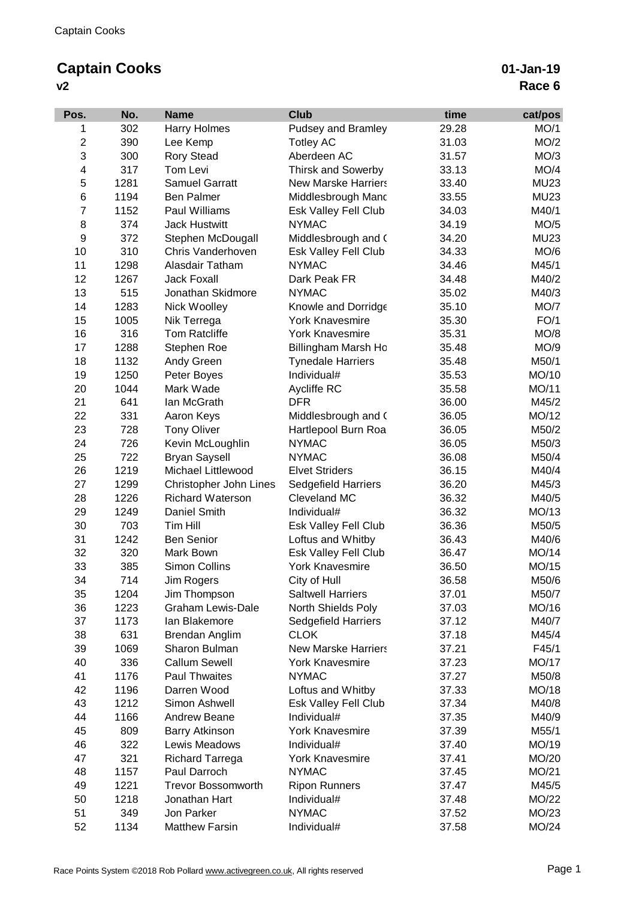## **Captain Cooks**

**v2**

| Pos.                    | No.         | <b>Name</b>                            | <b>Club</b>                     | time           | cat/pos        |
|-------------------------|-------------|----------------------------------------|---------------------------------|----------------|----------------|
| 1                       | 302         | <b>Harry Holmes</b>                    | <b>Pudsey and Bramley</b>       | 29.28          | MO/1           |
| $\overline{\mathbf{c}}$ | 390         | Lee Kemp                               | <b>Totley AC</b>                | 31.03          | MO/2           |
| 3                       | 300         | <b>Rory Stead</b>                      | Aberdeen AC                     | 31.57          | MO/3           |
| 4                       | 317         | Tom Levi                               | <b>Thirsk and Sowerby</b>       | 33.13          | MO/4           |
| 5                       | 1281        | <b>Samuel Garratt</b>                  | <b>New Marske Harriers</b>      | 33.40          | <b>MU23</b>    |
| $\,6$                   | 1194        | <b>Ben Palmer</b>                      | Middlesbrough Mand              | 33.55          | <b>MU23</b>    |
| $\overline{7}$          | 1152        | Paul Williams                          | Esk Valley Fell Club            | 34.03          | M40/1          |
| 8                       | 374         | <b>Jack Hustwitt</b>                   | <b>NYMAC</b>                    | 34.19          | MO/5           |
| 9                       | 372         | Stephen McDougall                      | Middlesbrough and (             | 34.20          | <b>MU23</b>    |
| 10                      | 310         | Chris Vanderhoven                      | <b>Esk Valley Fell Club</b>     | 34.33          | MO/6           |
| 11                      | 1298        | Alasdair Tatham                        | <b>NYMAC</b>                    | 34.46          | M45/1          |
| 12                      | 1267        | <b>Jack Foxall</b>                     | Dark Peak FR                    | 34.48          | M40/2          |
| 13                      | 515         | Jonathan Skidmore                      | <b>NYMAC</b>                    | 35.02          | M40/3          |
| 14                      | 1283        | Nick Woolley                           | Knowle and Dorridge             | 35.10          | MO/7           |
| 15                      | 1005        | Nik Terrega                            | <b>York Knavesmire</b>          | 35.30          | FO/1           |
| 16                      | 316         | <b>Tom Ratcliffe</b>                   | York Knavesmire                 | 35.31          | MO/8           |
| 17                      | 1288        | Stephen Roe                            | Billingham Marsh Ho             | 35.48          | MO/9           |
| 18                      | 1132        | Andy Green                             | <b>Tynedale Harriers</b>        | 35.48          | M50/1          |
| 19                      | 1250        | Peter Boyes                            | Individual#                     | 35.53          | MO/10          |
| 20                      | 1044        | Mark Wade                              | Aycliffe RC                     | 35.58          | MO/11          |
| 21                      | 641         | Ian McGrath                            | <b>DFR</b>                      | 36.00          | M45/2          |
| 22                      | 331         | Aaron Keys                             | Middlesbrough and (             | 36.05          | MO/12          |
| 23                      | 728         | <b>Tony Oliver</b>                     | Hartlepool Burn Roa             | 36.05          | M50/2          |
| 24                      | 726         | Kevin McLoughlin                       | <b>NYMAC</b>                    | 36.05          | M50/3          |
| 25                      | 722         | <b>Bryan Saysell</b>                   | <b>NYMAC</b>                    | 36.08          | M50/4          |
| 26                      | 1219        | Michael Littlewood                     | <b>Elvet Striders</b>           | 36.15          | M40/4          |
| 27                      | 1299        | Christopher John Lines                 | Sedgefield Harriers             | 36.20          | M45/3          |
| 28                      | 1226        | <b>Richard Waterson</b>                | Cleveland MC                    | 36.32          | M40/5          |
| 29                      | 1249        | Daniel Smith                           | Individual#                     | 36.32          | MO/13          |
| 30                      | 703         | Tim Hill                               | Esk Valley Fell Club            | 36.36          | M50/5          |
| 31                      | 1242        | <b>Ben Senior</b>                      | Loftus and Whitby               | 36.43          | M40/6          |
| 32                      | 320         | Mark Bown                              | <b>Esk Valley Fell Club</b>     | 36.47          | MO/14          |
| 33                      | 385         | Simon Collins                          | <b>York Knavesmire</b>          | 36.50          | MO/15          |
| 34                      | 714         | Jim Rogers                             | City of Hull                    | 36.58          | M50/6          |
| 35                      | 1204        | Jim Thompson                           | <b>Saltwell Harriers</b>        | 37.01          | M50/7          |
| 36                      | 1223        | <b>Graham Lewis-Dale</b>               | North Shields Poly              | 37.03          | MO/16          |
| 37                      | 1173        | lan Blakemore                          | Sedgefield Harriers             | 37.12          | M40/7          |
| 38                      | 631         | <b>Brendan Anglim</b>                  | <b>CLOK</b>                     | 37.18          | M45/4          |
| 39                      | 1069        | Sharon Bulman                          | <b>New Marske Harriers</b>      | 37.21          | F45/1          |
| 40                      | 336         | <b>Callum Sewell</b>                   | <b>York Knavesmire</b>          | 37.23          | MO/17          |
| 41                      | 1176        | <b>Paul Thwaites</b>                   | <b>NYMAC</b>                    | 37.27          | M50/8          |
| 42                      | 1196        | Darren Wood                            | Loftus and Whitby               | 37.33          | MO/18          |
| 43                      | 1212        | Simon Ashwell                          | Esk Valley Fell Club            | 37.34          | M40/8          |
| 44                      | 1166        | <b>Andrew Beane</b>                    | Individual#                     | 37.35          | M40/9          |
| 45                      | 809         | <b>Barry Atkinson</b>                  | <b>York Knavesmire</b>          | 37.39          | M55/1          |
| 46                      | 322         | Lewis Meadows                          | Individual#                     | 37.40          | MO/19          |
|                         |             |                                        |                                 |                |                |
| 47<br>48                | 321<br>1157 | <b>Richard Tarrega</b><br>Paul Darroch | York Knavesmire<br><b>NYMAC</b> | 37.41<br>37.45 | MO/20<br>MO/21 |
| 49                      | 1221        | <b>Trevor Bossomworth</b>              | <b>Ripon Runners</b>            | 37.47          | M45/5          |
| 50                      |             | Jonathan Hart                          | Individual#                     |                | MO/22          |
|                         | 1218        |                                        | <b>NYMAC</b>                    | 37.48          |                |
| 51                      | 349         | Jon Parker                             |                                 | 37.52          | MO/23          |
| 52                      | 1134        | <b>Matthew Farsin</b>                  | Individual#                     | 37.58          | MO/24          |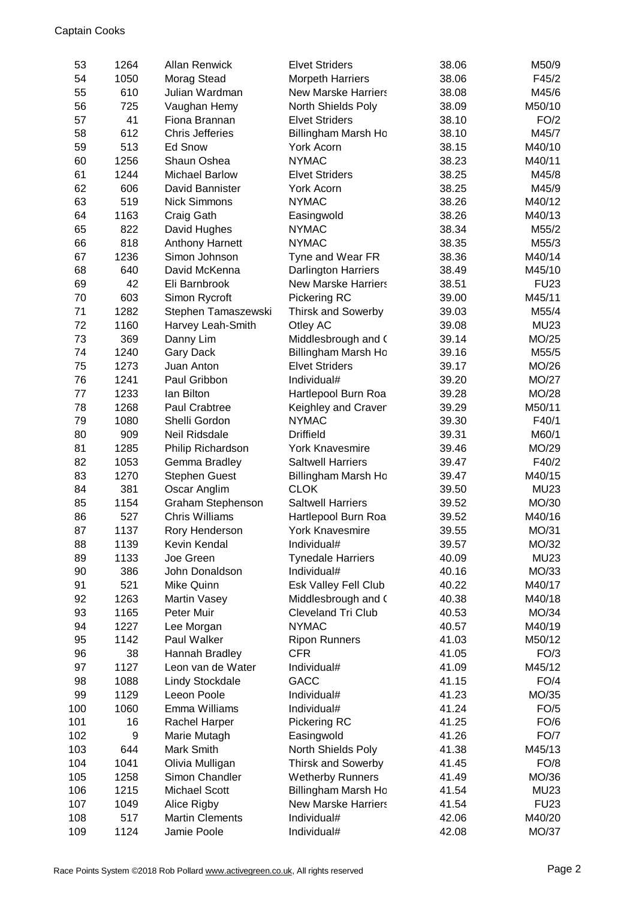| 53  | 1264 | <b>Allan Renwick</b>   | <b>Elvet Striders</b>      | 38.06 | M50/9        |
|-----|------|------------------------|----------------------------|-------|--------------|
| 54  | 1050 | Morag Stead            | <b>Morpeth Harriers</b>    | 38.06 | F45/2        |
| 55  | 610  | Julian Wardman         | <b>New Marske Harriers</b> | 38.08 | M45/6        |
| 56  | 725  | Vaughan Hemy           | North Shields Poly         | 38.09 | M50/10       |
| 57  | 41   | Fiona Brannan          | <b>Elvet Striders</b>      | 38.10 | FO/2         |
| 58  | 612  | <b>Chris Jefferies</b> | Billingham Marsh Ho        | 38.10 | M45/7        |
| 59  | 513  | <b>Ed Snow</b>         | York Acorn                 | 38.15 | M40/10       |
| 60  | 1256 | Shaun Oshea            | <b>NYMAC</b>               | 38.23 | M40/11       |
| 61  | 1244 | <b>Michael Barlow</b>  | <b>Elvet Striders</b>      | 38.25 | M45/8        |
| 62  | 606  | David Bannister        | York Acorn                 | 38.25 | M45/9        |
| 63  | 519  | <b>Nick Simmons</b>    | <b>NYMAC</b>               | 38.26 | M40/12       |
| 64  | 1163 | Craig Gath             | Easingwold                 | 38.26 | M40/13       |
| 65  | 822  | David Hughes           | <b>NYMAC</b>               | 38.34 | M55/2        |
| 66  | 818  | Anthony Harnett        | <b>NYMAC</b>               | 38.35 | M55/3        |
| 67  | 1236 | Simon Johnson          | Tyne and Wear FR           | 38.36 | M40/14       |
| 68  | 640  | David McKenna          | <b>Darlington Harriers</b> | 38.49 | M45/10       |
| 69  | 42   | Eli Barnbrook          | <b>New Marske Harriers</b> | 38.51 | <b>FU23</b>  |
| 70  | 603  | Simon Rycroft          | Pickering RC               | 39.00 | M45/11       |
| 71  | 1282 | Stephen Tamaszewski    | <b>Thirsk and Sowerby</b>  | 39.03 | M55/4        |
| 72  | 1160 | Harvey Leah-Smith      | Otley AC                   | 39.08 | <b>MU23</b>  |
| 73  | 369  | Danny Lim              | Middlesbrough and (        | 39.14 | MO/25        |
| 74  | 1240 | <b>Gary Dack</b>       | Billingham Marsh Ho        | 39.16 | M55/5        |
| 75  | 1273 | Juan Anton             | <b>Elvet Striders</b>      | 39.17 | MO/26        |
| 76  | 1241 | Paul Gribbon           | Individual#                | 39.20 | <b>MO/27</b> |
| 77  | 1233 | lan Bilton             | Hartlepool Burn Roa        | 39.28 | MO/28        |
| 78  | 1268 | Paul Crabtree          | Keighley and Craver        | 39.29 | M50/11       |
| 79  | 1080 | Shelli Gordon          | <b>NYMAC</b>               | 39.30 | F40/1        |
| 80  | 909  | Neil Ridsdale          | <b>Driffield</b>           | 39.31 | M60/1        |
| 81  | 1285 | Philip Richardson      | <b>York Knavesmire</b>     | 39.46 | MO/29        |
| 82  | 1053 | Gemma Bradley          | <b>Saltwell Harriers</b>   | 39.47 | F40/2        |
| 83  | 1270 | <b>Stephen Guest</b>   | Billingham Marsh Ho        | 39.47 | M40/15       |
| 84  | 381  | Oscar Anglim           | <b>CLOK</b>                | 39.50 | <b>MU23</b>  |
| 85  | 1154 | Graham Stephenson      | <b>Saltwell Harriers</b>   | 39.52 | MO/30        |
| 86  | 527  | <b>Chris Williams</b>  | Hartlepool Burn Roa        | 39.52 | M40/16       |
| 87  | 1137 | Rory Henderson         | <b>York Knavesmire</b>     | 39.55 | MO/31        |
| 88  | 1139 | Kevin Kendal           | Individual#                | 39.57 | MO/32        |
| 89  | 1133 | Joe Green              | <b>Tynedale Harriers</b>   | 40.09 | <b>MU23</b>  |
| 90  | 386  | John Donaldson         | Individual#                | 40.16 | MO/33        |
| 91  | 521  | Mike Quinn             | Esk Valley Fell Club       | 40.22 | M40/17       |
| 92  | 1263 | <b>Martin Vasey</b>    | Middlesbrough and (        | 40.38 | M40/18       |
| 93  | 1165 | Peter Muir             | <b>Cleveland Tri Club</b>  | 40.53 | MO/34        |
| 94  | 1227 | Lee Morgan             | <b>NYMAC</b>               | 40.57 | M40/19       |
| 95  | 1142 | Paul Walker            | <b>Ripon Runners</b>       | 41.03 | M50/12       |
| 96  | 38   | Hannah Bradley         | <b>CFR</b>                 | 41.05 | FO/3         |
| 97  | 1127 | Leon van de Water      | Individual#                | 41.09 | M45/12       |
| 98  | 1088 | Lindy Stockdale        | GACC                       | 41.15 | FO/4         |
| 99  | 1129 | Leeon Poole            | Individual#                | 41.23 | MO/35        |
| 100 | 1060 | Emma Williams          | Individual#                | 41.24 | FO/5         |
| 101 | 16   | Rachel Harper          | Pickering RC               | 41.25 | FO/6         |
| 102 | 9    | Marie Mutagh           | Easingwold                 | 41.26 | <b>FO/7</b>  |
| 103 | 644  | Mark Smith             | North Shields Poly         | 41.38 | M45/13       |
| 104 | 1041 | Olivia Mulligan        | <b>Thirsk and Sowerby</b>  | 41.45 | FO/8         |
| 105 | 1258 | Simon Chandler         | <b>Wetherby Runners</b>    | 41.49 | MO/36        |
| 106 | 1215 | Michael Scott          | Billingham Marsh Ho        | 41.54 | <b>MU23</b>  |
| 107 | 1049 | Alice Rigby            | <b>New Marske Harriers</b> | 41.54 | <b>FU23</b>  |
| 108 | 517  | <b>Martin Clements</b> | Individual#                | 42.06 | M40/20       |
| 109 | 1124 | Jamie Poole            | Individual#                | 42.08 | MO/37        |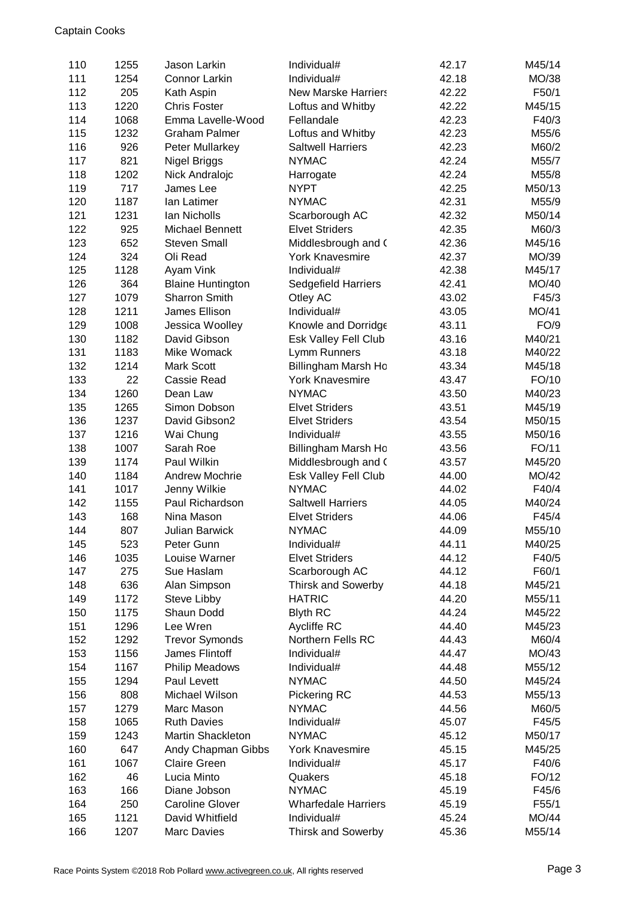| 110        | 1255         | Jason Larkin                              | Individual#                      | 42.17          | M45/14           |
|------------|--------------|-------------------------------------------|----------------------------------|----------------|------------------|
| 111        | 1254         | Connor Larkin                             | Individual#                      | 42.18          | MO/38            |
| 112        | 205          | Kath Aspin                                | <b>New Marske Harriers</b>       | 42.22          | F50/1            |
| 113        | 1220         | <b>Chris Foster</b>                       | Loftus and Whitby                | 42.22          | M45/15           |
| 114        | 1068         | Emma Lavelle-Wood                         | Fellandale                       | 42.23          | F40/3            |
| 115        | 1232         | <b>Graham Palmer</b>                      | Loftus and Whitby                | 42.23          | M55/6            |
| 116        | 926          | Peter Mullarkey                           | <b>Saltwell Harriers</b>         | 42.23          | M60/2            |
| 117        | 821          | Nigel Briggs                              | <b>NYMAC</b>                     | 42.24          | M55/7            |
| 118        | 1202         | Nick Andralojc                            | Harrogate                        | 42.24          | M55/8            |
| 119        | 717          | James Lee                                 | <b>NYPT</b>                      | 42.25          | M50/13           |
| 120        | 1187         | lan Latimer                               | <b>NYMAC</b>                     | 42.31          | M55/9            |
| 121        | 1231         | Ian Nicholls                              | Scarborough AC                   | 42.32          | M50/14           |
| 122        | 925          | Michael Bennett                           | <b>Elvet Striders</b>            | 42.35          | M60/3            |
| 123        | 652          | <b>Steven Small</b>                       | Middlesbrough and (              | 42.36          | M45/16           |
| 124        | 324          | Oli Read                                  | <b>York Knavesmire</b>           | 42.37          | MO/39            |
| 125        | 1128         | Ayam Vink                                 | Individual#                      | 42.38          | M45/17           |
| 126        | 364          | <b>Blaine Huntington</b>                  | Sedgefield Harriers              | 42.41          | MO/40            |
| 127        | 1079         | Sharron Smith                             | Otley AC                         | 43.02          | F45/3            |
| 128        | 1211         | James Ellison                             | Individual#                      | 43.05          | MO/41            |
| 129        | 1008         | Jessica Woolley                           | Knowle and Dorridge              | 43.11          | FO/9             |
| 130        | 1182         | David Gibson                              | Esk Valley Fell Club             | 43.16          | M40/21           |
| 131        | 1183         | Mike Womack                               | Lymm Runners                     | 43.18          | M40/22           |
| 132        | 1214         | Mark Scott                                | Billingham Marsh Ho              | 43.34          | M45/18           |
| 133        | 22           | Cassie Read                               | <b>York Knavesmire</b>           | 43.47          | FO/10            |
| 134        | 1260         | Dean Law                                  | <b>NYMAC</b>                     | 43.50          | M40/23           |
| 135        | 1265         | Simon Dobson                              | <b>Elvet Striders</b>            | 43.51          | M45/19           |
| 136        | 1237         | David Gibson2                             | <b>Elvet Striders</b>            | 43.54          | M50/15           |
| 137        | 1216         | Wai Chung                                 | Individual#                      | 43.55          | M50/16           |
| 138        | 1007         | Sarah Roe                                 | Billingham Marsh Ho              | 43.56          | FO/11            |
| 139        | 1174         | Paul Wilkin                               | Middlesbrough and (              | 43.57          | M45/20           |
| 140        | 1184         | <b>Andrew Mochrie</b>                     | Esk Valley Fell Club             | 44.00          | MO/42            |
| 141        | 1017         | Jenny Wilkie                              | <b>NYMAC</b>                     | 44.02          | F40/4            |
| 142        | 1155         | Paul Richardson                           | <b>Saltwell Harriers</b>         | 44.05          | M40/24           |
| 143        | 168          | Nina Mason                                | <b>Elvet Striders</b>            | 44.06          | F45/4            |
| 144        | 807          | <b>Julian Barwick</b>                     | <b>NYMAC</b>                     | 44.09          | M55/10           |
| 145        | 523          | Peter Gunn                                | Individual#                      | 44.11          |                  |
| 146        | 1035         | Louise Warner                             | <b>Elvet Striders</b>            | 44.12          | M40/25<br>F40/5  |
| 147        | 275          | Sue Haslam                                | Scarborough AC                   | 44.12          | F60/1            |
| 148        | 636          | Alan Simpson                              | <b>Thirsk and Sowerby</b>        | 44.18          | M45/21           |
| 149        | 1172         | Steve Libby                               | <b>HATRIC</b>                    | 44.20          | M55/11           |
| 150        |              | Shaun Dodd                                |                                  | 44.24          |                  |
| 151        | 1175<br>1296 | Lee Wren                                  | <b>Blyth RC</b>                  | 44.40          | M45/22<br>M45/23 |
| 152        | 1292         |                                           | Aycliffe RC<br>Northern Fells RC | 44.43          | M60/4            |
| 153        | 1156         | <b>Trevor Symonds</b><br>James Flintoff   | Individual#                      | 44.47          | MO/43            |
| 154        | 1167         | <b>Philip Meadows</b>                     | Individual#                      | 44.48          | M55/12           |
| 155        | 1294         | Paul Levett                               | <b>NYMAC</b>                     | 44.50          | M45/24           |
| 156        | 808          | Michael Wilson                            | Pickering RC                     | 44.53          | M55/13           |
| 157        | 1279         | Marc Mason                                | <b>NYMAC</b>                     | 44.56          | M60/5            |
|            |              | <b>Ruth Davies</b>                        |                                  |                |                  |
| 158<br>159 | 1065<br>1243 | Martin Shackleton                         | Individual#<br><b>NYMAC</b>      | 45.07<br>45.12 | F45/5<br>M50/17  |
| 160        | 647          |                                           | <b>York Knavesmire</b>           | 45.15          | M45/25           |
| 161        | 1067         | Andy Chapman Gibbs<br><b>Claire Green</b> | Individual#                      | 45.17          | F40/6            |
| 162        | 46           | Lucia Minto                               | Quakers                          | 45.18          | FO/12            |
| 163        | 166          | Diane Jobson                              | <b>NYMAC</b>                     | 45.19          | F45/6            |
| 164        | 250          | <b>Caroline Glover</b>                    | <b>Wharfedale Harriers</b>       | 45.19          | F55/1            |
| 165        | 1121         | David Whitfield                           | Individual#                      | 45.24          | MO/44            |
| 166        | 1207         | Marc Davies                               | Thirsk and Sowerby               | 45.36          | M55/14           |
|            |              |                                           |                                  |                |                  |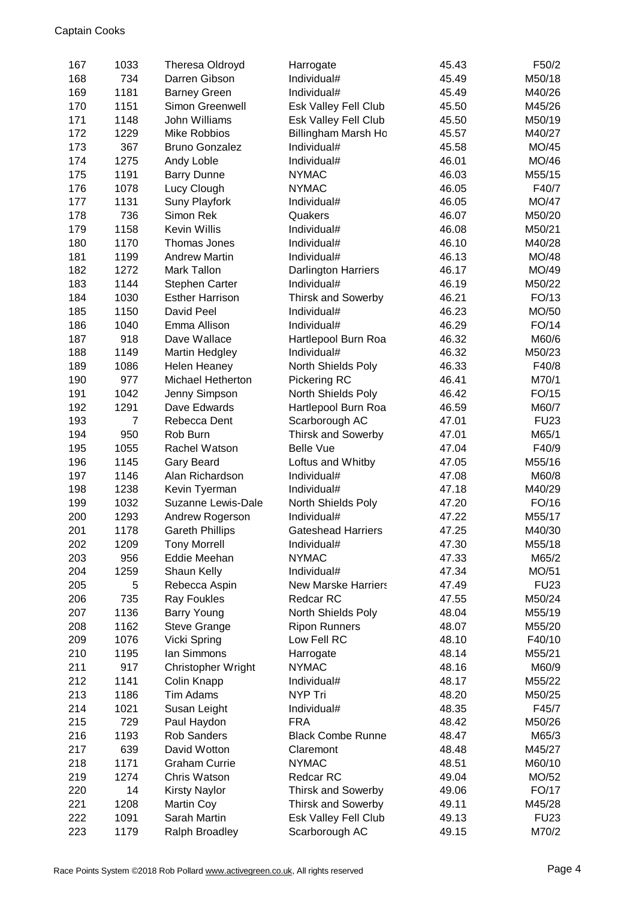| 167        | 1033           | <b>Theresa Oldroyd</b>          | Harrogate                  | 45.43          | F50/2            |
|------------|----------------|---------------------------------|----------------------------|----------------|------------------|
| 168        | 734            | Darren Gibson                   | Individual#                | 45.49          | M50/18           |
| 169        | 1181           | <b>Barney Green</b>             | Individual#                | 45.49          | M40/26           |
| 170        | 1151           | Simon Greenwell                 | Esk Valley Fell Club       | 45.50          | M45/26           |
| 171        | 1148           | John Williams                   | Esk Valley Fell Club       | 45.50          | M50/19           |
| 172        | 1229           | <b>Mike Robbios</b>             | Billingham Marsh Ho        | 45.57          | M40/27           |
| 173        | 367            | <b>Bruno Gonzalez</b>           | Individual#                | 45.58          | MO/45            |
| 174        | 1275           | Andy Loble                      | Individual#                | 46.01          | MO/46            |
| 175        | 1191           | <b>Barry Dunne</b>              | <b>NYMAC</b>               | 46.03          | M55/15           |
| 176        | 1078           | Lucy Clough                     | <b>NYMAC</b>               | 46.05          | F40/7            |
| 177        | 1131           | <b>Suny Playfork</b>            | Individual#                | 46.05          | MO/47            |
| 178        | 736            | Simon Rek                       | Quakers                    | 46.07          | M50/20           |
| 179        | 1158           | <b>Kevin Willis</b>             | Individual#                | 46.08          | M50/21           |
| 180        | 1170           | Thomas Jones                    | Individual#                | 46.10          | M40/28           |
| 181        | 1199           | <b>Andrew Martin</b>            | Individual#                | 46.13          | MO/48            |
| 182        | 1272           | <b>Mark Tallon</b>              | Darlington Harriers        | 46.17          | MO/49            |
| 183        | 1144           | <b>Stephen Carter</b>           | Individual#                | 46.19          | M50/22           |
| 184        | 1030           | <b>Esther Harrison</b>          | <b>Thirsk and Sowerby</b>  | 46.21          | FO/13            |
| 185        | 1150           | David Peel                      | Individual#                | 46.23          | MO/50            |
| 186        | 1040           | Emma Allison                    | Individual#                | 46.29          | FO/14            |
| 187        | 918            | Dave Wallace                    | Hartlepool Burn Roa        | 46.32          | M60/6            |
| 188        | 1149           | <b>Martin Hedgley</b>           | Individual#                | 46.32          | M50/23           |
| 189        | 1086           | <b>Helen Heaney</b>             | North Shields Poly         | 46.33          | F40/8            |
| 190        | 977            | Michael Hetherton               | Pickering RC               | 46.41          | M70/1            |
| 191        | 1042           | Jenny Simpson                   | North Shields Poly         | 46.42          | FO/15            |
| 192        | 1291           | Dave Edwards                    | Hartlepool Burn Roa        | 46.59          | M60/7            |
| 193        | $\overline{7}$ | Rebecca Dent                    | Scarborough AC             | 47.01          | <b>FU23</b>      |
| 194        | 950            | Rob Burn                        | <b>Thirsk and Sowerby</b>  | 47.01          | M65/1            |
| 195        | 1055           | Rachel Watson                   | <b>Belle Vue</b>           | 47.04          | F40/9            |
| 196        | 1145           | Gary Beard                      | Loftus and Whitby          | 47.05          | M55/16           |
| 197        | 1146           | Alan Richardson                 | Individual#                | 47.08          | M60/8            |
| 198        | 1238           | Kevin Tyerman                   | Individual#                | 47.18          | M40/29           |
| 199        | 1032           | Suzanne Lewis-Dale              | North Shields Poly         | 47.20          | FO/16            |
| 200        | 1293           | Andrew Rogerson                 | Individual#                | 47.22          | M55/17           |
| 201        | 1178           | <b>Gareth Phillips</b>          | <b>Gateshead Harriers</b>  | 47.25          | M40/30           |
| 202        | 1209           | <b>Tony Morrell</b>             | Individual#                | 47.30          | M55/18           |
| 203        | 956            | Eddie Meehan                    | <b>NYMAC</b>               | 47.33          | M65/2            |
| 204        | 1259           | Shaun Kelly                     | Individual#                | 47.34          | MO/51            |
| 205        | 5              | Rebecca Aspin                   | <b>New Marske Harriers</b> | 47.49          | <b>FU23</b>      |
| 206        | 735            | <b>Ray Foukles</b>              | Redcar RC                  | 47.55          | M50/24           |
| 207        | 1136           | Barry Young                     | North Shields Poly         | 48.04          | M55/19           |
| 208        | 1162           | <b>Steve Grange</b>             | <b>Ripon Runners</b>       | 48.07          | M55/20           |
| 209        | 1076           | Vicki Spring                    | Low Fell RC                | 48.10          | F40/10           |
| 210        | 1195           | lan Simmons                     | Harrogate                  | 48.14          | M55/21           |
| 211        | 917            | <b>Christopher Wright</b>       | <b>NYMAC</b>               | 48.16          | M60/9            |
| 212<br>213 | 1141           | Colin Knapp<br><b>Tim Adams</b> | Individual#<br>NYP Tri     | 48.17<br>48.20 | M55/22           |
|            | 1186           |                                 |                            |                | M50/25           |
| 214        | 1021<br>729    | Susan Leight                    | Individual#<br><b>FRA</b>  | 48.35<br>48.42 | F45/7            |
| 215        |                | Paul Haydon<br>Rob Sanders      | <b>Black Combe Runne</b>   | 48.47          | M50/26           |
| 216        | 1193           | David Wotton                    | Claremont                  |                | M65/3            |
| 217<br>218 | 639<br>1171    | <b>Graham Currie</b>            | <b>NYMAC</b>               | 48.48<br>48.51 | M45/27<br>M60/10 |
| 219        | 1274           | Chris Watson                    | Redcar RC                  | 49.04          | MO/52            |
| 220        | 14             | <b>Kirsty Naylor</b>            | Thirsk and Sowerby         | 49.06          | FO/17            |
| 221        | 1208           | Martin Coy                      | <b>Thirsk and Sowerby</b>  | 49.11          | M45/28           |
| 222        | 1091           | Sarah Martin                    | Esk Valley Fell Club       | 49.13          | <b>FU23</b>      |
| 223        | 1179           | Ralph Broadley                  | Scarborough AC             | 49.15          | M70/2            |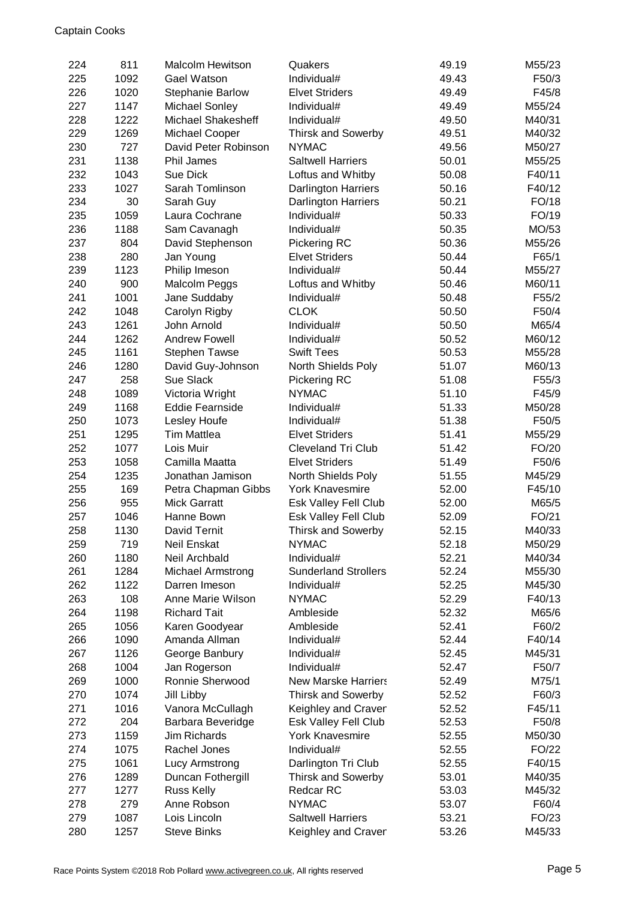| 224 | 811  | <b>Malcolm Hewitson</b> | Quakers                     | 49.19 | M55/23 |
|-----|------|-------------------------|-----------------------------|-------|--------|
| 225 | 1092 | Gael Watson             | Individual#                 | 49.43 | F50/3  |
| 226 | 1020 | <b>Stephanie Barlow</b> | <b>Elvet Striders</b>       | 49.49 | F45/8  |
| 227 | 1147 | Michael Sonley          | Individual#                 | 49.49 | M55/24 |
| 228 | 1222 | Michael Shakesheff      | Individual#                 | 49.50 | M40/31 |
| 229 | 1269 | Michael Cooper          | Thirsk and Sowerby          | 49.51 | M40/32 |
| 230 | 727  | David Peter Robinson    | <b>NYMAC</b>                | 49.56 | M50/27 |
| 231 | 1138 | Phil James              | <b>Saltwell Harriers</b>    | 50.01 | M55/25 |
| 232 | 1043 | Sue Dick                | Loftus and Whitby           | 50.08 | F40/11 |
| 233 | 1027 | Sarah Tomlinson         | <b>Darlington Harriers</b>  | 50.16 | F40/12 |
| 234 | 30   | Sarah Guy               | <b>Darlington Harriers</b>  | 50.21 | FO/18  |
| 235 | 1059 | Laura Cochrane          | Individual#                 | 50.33 | FO/19  |
| 236 | 1188 | Sam Cavanagh            | Individual#                 | 50.35 | MO/53  |
| 237 | 804  | David Stephenson        | Pickering RC                | 50.36 | M55/26 |
| 238 | 280  | Jan Young               | <b>Elvet Striders</b>       | 50.44 | F65/1  |
| 239 | 1123 | Philip Imeson           | Individual#                 | 50.44 | M55/27 |
| 240 | 900  | Malcolm Peggs           | Loftus and Whitby           | 50.46 | M60/11 |
| 241 | 1001 | Jane Suddaby            | Individual#                 | 50.48 | F55/2  |
| 242 | 1048 | Carolyn Rigby           | <b>CLOK</b>                 | 50.50 | F50/4  |
| 243 | 1261 | John Arnold             | Individual#                 | 50.50 | M65/4  |
| 244 | 1262 | <b>Andrew Fowell</b>    | Individual#                 | 50.52 | M60/12 |
| 245 | 1161 | <b>Stephen Tawse</b>    | <b>Swift Tees</b>           | 50.53 | M55/28 |
| 246 | 1280 | David Guy-Johnson       | North Shields Poly          | 51.07 | M60/13 |
| 247 | 258  | Sue Slack               | Pickering RC                | 51.08 | F55/3  |
| 248 | 1089 | Victoria Wright         | <b>NYMAC</b>                | 51.10 | F45/9  |
| 249 | 1168 | <b>Eddie Fearnside</b>  | Individual#                 | 51.33 | M50/28 |
| 250 | 1073 | Lesley Houfe            | Individual#                 | 51.38 | F50/5  |
| 251 | 1295 | <b>Tim Mattlea</b>      | <b>Elvet Striders</b>       | 51.41 | M55/29 |
| 252 | 1077 | Lois Muir               | <b>Cleveland Tri Club</b>   | 51.42 | FO/20  |
| 253 | 1058 | Camilla Maatta          | <b>Elvet Striders</b>       | 51.49 | F50/6  |
| 254 | 1235 | Jonathan Jamison        | North Shields Poly          | 51.55 | M45/29 |
| 255 | 169  | Petra Chapman Gibbs     | <b>York Knavesmire</b>      | 52.00 | F45/10 |
| 256 | 955  | <b>Mick Garratt</b>     | Esk Valley Fell Club        | 52.00 | M65/5  |
| 257 | 1046 | Hanne Bown              | Esk Valley Fell Club        | 52.09 | FO/21  |
| 258 | 1130 | David Ternit            | <b>Thirsk and Sowerby</b>   | 52.15 | M40/33 |
| 259 | 719  | <b>Neil Enskat</b>      | <b>NYMAC</b>                | 52.18 | M50/29 |
| 260 | 1180 | Neil Archbald           | Individual#                 | 52.21 | M40/34 |
| 261 | 1284 | Michael Armstrong       | <b>Sunderland Strollers</b> | 52.24 | M55/30 |
| 262 | 1122 | Darren Imeson           | Individual#                 | 52.25 | M45/30 |
| 263 | 108  | Anne Marie Wilson       | <b>NYMAC</b>                | 52.29 | F40/13 |
| 264 | 1198 | <b>Richard Tait</b>     | Ambleside                   | 52.32 | M65/6  |
| 265 | 1056 | Karen Goodyear          | Ambleside                   | 52.41 | F60/2  |
| 266 | 1090 | Amanda Allman           | Individual#                 | 52.44 | F40/14 |
| 267 | 1126 | George Banbury          | Individual#                 | 52.45 | M45/31 |
| 268 | 1004 | Jan Rogerson            | Individual#                 | 52.47 | F50/7  |
| 269 | 1000 | Ronnie Sherwood         | <b>New Marske Harriers</b>  | 52.49 | M75/1  |
| 270 | 1074 | Jill Libby              | Thirsk and Sowerby          | 52.52 | F60/3  |
| 271 | 1016 | Vanora McCullagh        | Keighley and Craver         | 52.52 | F45/11 |
| 272 | 204  | Barbara Beveridge       | Esk Valley Fell Club        | 52.53 | F50/8  |
| 273 | 1159 | <b>Jim Richards</b>     | <b>York Knavesmire</b>      | 52.55 | M50/30 |
| 274 | 1075 | Rachel Jones            | Individual#                 | 52.55 | FO/22  |
| 275 | 1061 | Lucy Armstrong          | Darlington Tri Club         | 52.55 | F40/15 |
| 276 | 1289 | Duncan Fothergill       | <b>Thirsk and Sowerby</b>   | 53.01 | M40/35 |
| 277 | 1277 | <b>Russ Kelly</b>       | <b>Redcar RC</b>            | 53.03 | M45/32 |
| 278 | 279  | Anne Robson             | <b>NYMAC</b>                | 53.07 | F60/4  |
| 279 | 1087 | Lois Lincoln            | <b>Saltwell Harriers</b>    | 53.21 | FO/23  |
| 280 | 1257 | <b>Steve Binks</b>      | Keighley and Craver         | 53.26 | M45/33 |
|     |      |                         |                             |       |        |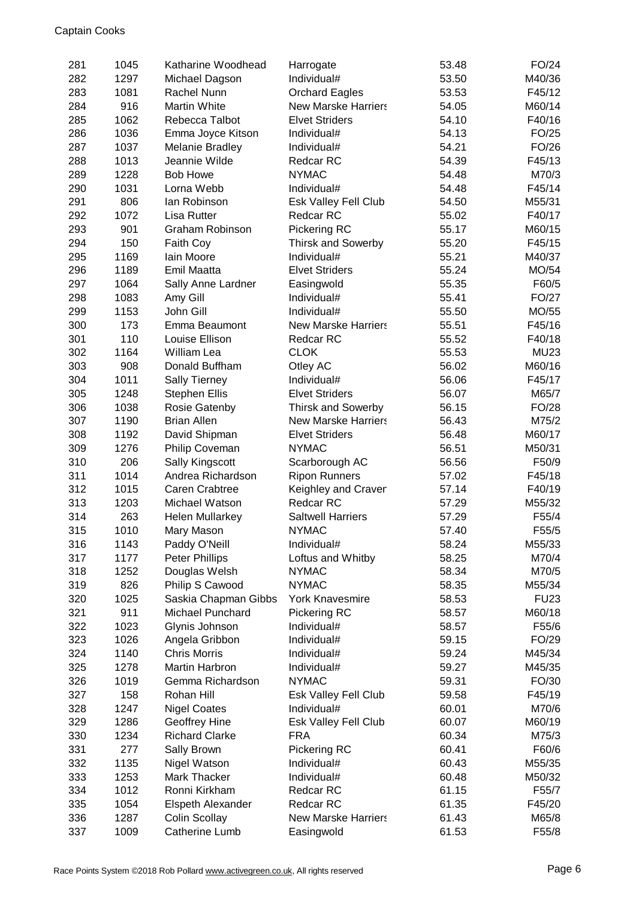| 281        | 1045 | Katharine Woodhead              | Harrogate                         | 53.48          | FO/24           |
|------------|------|---------------------------------|-----------------------------------|----------------|-----------------|
| 282        | 1297 | Michael Dagson                  | Individual#                       | 53.50          | M40/36          |
| 283        | 1081 | Rachel Nunn                     | <b>Orchard Eagles</b>             | 53.53          | F45/12          |
| 284        | 916  | <b>Martin White</b>             | <b>New Marske Harriers</b>        | 54.05          | M60/14          |
| 285        | 1062 | Rebecca Talbot                  | <b>Elvet Striders</b>             | 54.10          | F40/16          |
| 286        | 1036 | Emma Joyce Kitson               | Individual#                       | 54.13          | FO/25           |
| 287        | 1037 | <b>Melanie Bradley</b>          | Individual#                       | 54.21          | FO/26           |
| 288        | 1013 | Jeannie Wilde                   | Redcar RC                         | 54.39          | F45/13          |
| 289        | 1228 | <b>Bob Howe</b>                 | <b>NYMAC</b>                      | 54.48          | M70/3           |
| 290        | 1031 | Lorna Webb                      | Individual#                       | 54.48          | F45/14          |
| 291        | 806  | lan Robinson                    | Esk Valley Fell Club              | 54.50          | M55/31          |
| 292        | 1072 | Lisa Rutter                     | Redcar RC                         | 55.02          | F40/17          |
| 293        | 901  | <b>Graham Robinson</b>          | Pickering RC                      | 55.17          | M60/15          |
| 294        | 150  | Faith Coy                       | <b>Thirsk and Sowerby</b>         | 55.20          | F45/15          |
| 295        | 1169 | lain Moore                      | Individual#                       | 55.21          | M40/37          |
| 296        | 1189 | Emil Maatta                     | <b>Elvet Striders</b>             | 55.24          | MO/54           |
| 297        | 1064 | Sally Anne Lardner              | Easingwold                        | 55.35          | F60/5           |
| 298        | 1083 | Amy Gill                        | Individual#                       | 55.41          | FO/27           |
| 299        | 1153 | John Gill                       | Individual#                       | 55.50          | MO/55           |
| 300        | 173  | Emma Beaumont                   | <b>New Marske Harriers</b>        | 55.51          | F45/16          |
| 301        | 110  | Louise Ellison                  | Redcar RC                         | 55.52          | F40/18          |
| 302        | 1164 | William Lea                     | <b>CLOK</b>                       | 55.53          | <b>MU23</b>     |
| 303        | 908  | Donald Buffham                  | Otley AC                          | 56.02          | M60/16          |
| 304        | 1011 | <b>Sally Tierney</b>            | Individual#                       | 56.06          | F45/17          |
| 305        | 1248 | <b>Stephen Ellis</b>            | <b>Elvet Striders</b>             | 56.07          | M65/7           |
| 306        | 1038 | Rosie Gatenby                   | <b>Thirsk and Sowerby</b>         | 56.15          | FO/28           |
| 307        | 1190 | <b>Brian Allen</b>              | <b>New Marske Harriers</b>        | 56.43          | M75/2           |
| 308        | 1192 | David Shipman                   | <b>Elvet Striders</b>             | 56.48          | M60/17          |
| 309        | 1276 | Philip Coveman                  | <b>NYMAC</b>                      | 56.51          | M50/31          |
| 310        | 206  | Sally Kingscott                 | Scarborough AC                    | 56.56          | F50/9           |
| 311        | 1014 | Andrea Richardson               | <b>Ripon Runners</b>              | 57.02          | F45/18          |
| 312        | 1015 | <b>Caren Crabtree</b>           | Keighley and Craver               | 57.14          | F40/19          |
| 313        | 1203 | Michael Watson                  | Redcar RC                         | 57.29          | M55/32          |
| 314        | 263  |                                 | <b>Saltwell Harriers</b>          | 57.29          | F55/4           |
|            | 1010 | <b>Helen Mullarkey</b>          | <b>NYMAC</b>                      | 57.40          | F55/5           |
| 315<br>316 | 1143 | Mary Mason<br>Paddy O'Neill     | Individual#                       |                |                 |
| 317        | 1177 |                                 |                                   | 58.24<br>58.25 | M55/33<br>M70/4 |
|            | 1252 | Peter Phillips<br>Douglas Welsh | Loftus and Whitby<br><b>NYMAC</b> | 58.34          | M70/5           |
| 318        |      |                                 |                                   |                | M55/34          |
| 319        | 826  | Philip S Cawood                 | <b>NYMAC</b>                      | 58.35          |                 |
| 320        | 1025 | Saskia Chapman Gibbs            | <b>York Knavesmire</b>            | 58.53          | <b>FU23</b>     |
| 321        | 911  | Michael Punchard                | Pickering RC<br>Individual#       | 58.57          | M60/18          |
| 322        | 1023 | Glynis Johnson                  |                                   | 58.57          | F55/6           |
| 323        | 1026 | Angela Gribbon                  | Individual#                       | 59.15          | FO/29           |
| 324        | 1140 | <b>Chris Morris</b>             | Individual#                       | 59.24          | M45/34          |
| 325        | 1278 | Martin Harbron                  | Individual#                       | 59.27          | M45/35          |
| 326        | 1019 | Gemma Richardson                | <b>NYMAC</b>                      | 59.31          | FO/30           |
| 327        | 158  | Rohan Hill                      | Esk Valley Fell Club              | 59.58          | F45/19          |
| 328        | 1247 | <b>Nigel Coates</b>             | Individual#                       | 60.01          | M70/6           |
| 329        | 1286 | Geoffrey Hine                   | Esk Valley Fell Club              | 60.07          | M60/19          |
| 330        | 1234 | <b>Richard Clarke</b>           | <b>FRA</b>                        | 60.34          | M75/3           |
| 331        | 277  | Sally Brown                     | Pickering RC                      | 60.41          | F60/6           |
| 332        | 1135 | Nigel Watson                    | Individual#                       | 60.43          | M55/35          |
| 333        | 1253 | Mark Thacker                    | Individual#                       | 60.48          | M50/32          |
| 334        | 1012 | Ronni Kirkham                   | Redcar RC                         | 61.15          | F55/7           |
| 335        | 1054 | Elspeth Alexander               | Redcar RC                         | 61.35          | F45/20          |
| 336        | 1287 | <b>Colin Scollay</b>            | <b>New Marske Harriers</b>        | 61.43          | M65/8           |
| 337        | 1009 | Catherine Lumb                  | Easingwold                        | 61.53          | F55/8           |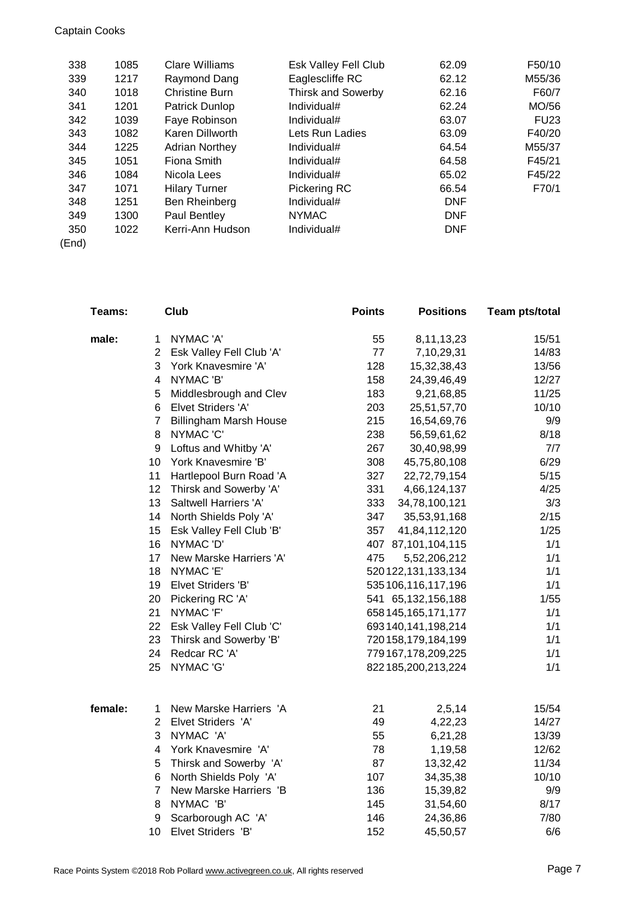## Captain Cooks

| 338 | 1085 | Clare Williams        | Esk Valley Fell Club      | 62.09      | F50/10      |
|-----|------|-----------------------|---------------------------|------------|-------------|
| 339 | 1217 | Raymond Dang          | Eaglescliffe RC           | 62.12      | M55/36      |
| 340 | 1018 | <b>Christine Burn</b> | <b>Thirsk and Sowerby</b> | 62.16      | F60/7       |
| 341 | 1201 | Patrick Dunlop        | Individual#               | 62.24      | MO/56       |
| 342 | 1039 | Faye Robinson         | Individual#               | 63.07      | <b>FU23</b> |
| 343 | 1082 | Karen Dillworth       | Lets Run Ladies           | 63.09      | F40/20      |
| 344 | 1225 | <b>Adrian Northey</b> | Individual#               | 64.54      | M55/37      |
| 345 | 1051 | Fiona Smith           | Individual#               | 64.58      | F45/21      |
| 346 | 1084 | Nicola Lees           | Individual#               | 65.02      | F45/22      |
| 347 | 1071 | <b>Hilary Turner</b>  | Pickering RC              | 66.54      | F70/1       |
| 348 | 1251 | Ben Rheinberg         | Individual#               | <b>DNF</b> |             |
| 349 | 1300 | Paul Bentley          | <b>NYMAC</b>              | <b>DNF</b> |             |
| 350 | 1022 | Kerri-Ann Hudson      | Individual#               | <b>DNF</b> |             |
|     |      |                       |                           |            |             |

(End)

| Teams:  |                         | Club                          | <b>Points</b> | <b>Positions</b>       | <b>Team pts/total</b> |
|---------|-------------------------|-------------------------------|---------------|------------------------|-----------------------|
| male:   | 1                       | NYMAC 'A'                     | 55            | 8, 11, 13, 23          | 15/51                 |
|         | $\overline{2}$          | Esk Valley Fell Club 'A'      | 77            | 7,10,29,31             | 14/83                 |
|         | 3                       | York Knavesmire 'A'           | 128           | 15,32,38,43            | 13/56                 |
|         | $\overline{\mathbf{4}}$ | NYMAC 'B'                     | 158           | 24,39,46,49            | 12/27                 |
|         | 5                       | Middlesbrough and Clev        | 183           | 9,21,68,85             | 11/25                 |
|         | 6                       | Elvet Striders 'A'            | 203           | 25,51,57,70            | 10/10                 |
|         | $\overline{7}$          | <b>Billingham Marsh House</b> | 215           | 16,54,69,76            | 9/9                   |
|         | 8                       | NYMAC 'C'                     | 238           | 56,59,61,62            | 8/18                  |
|         | 9                       | Loftus and Whitby 'A'         | 267           | 30,40,98,99            | 7/7                   |
|         | 10                      | York Knavesmire 'B'           | 308           | 45,75,80,108           | 6/29                  |
|         | 11                      | Hartlepool Burn Road 'A       | 327           | 22,72,79,154           | 5/15                  |
|         | 12                      | Thirsk and Sowerby 'A'        | 331           | 4,66,124,137           | 4/25                  |
|         | 13                      | Saltwell Harriers 'A'         | 333           | 34,78,100,121          | 3/3                   |
|         | 14                      | North Shields Poly 'A'        | 347           | 35,53,91,168           | 2/15                  |
|         | 15                      | Esk Valley Fell Club 'B'      | 357           | 41,84,112,120          | 1/25                  |
|         | 16                      | NYMAC 'D'                     |               | 407 87,101,104,115     | 1/1                   |
|         | 17                      | New Marske Harriers 'A'       | 475           | 5,52,206,212           | 1/1                   |
|         | 18                      | NYMAC 'E'                     |               | 520 122, 131, 133, 134 | 1/1                   |
|         | 19                      | Elvet Striders 'B'            |               | 535 106, 116, 117, 196 | 1/1                   |
|         | 20                      | Pickering RC 'A'              |               | 541 65,132,156,188     | 1/55                  |
|         | 21                      | NYMAC 'F'                     |               | 658 145, 165, 171, 177 | 1/1                   |
|         | 22                      | Esk Valley Fell Club 'C'      |               | 693 140, 141, 198, 214 | 1/1                   |
|         | 23                      | Thirsk and Sowerby 'B'        |               | 720 158, 179, 184, 199 | 1/1                   |
|         | 24                      | Redcar RC 'A'                 |               | 779 167, 178, 209, 225 | 1/1                   |
|         | 25                      | NYMAC 'G'                     |               | 822 185,200,213,224    | 1/1                   |
| female: | 1                       | New Marske Harriers 'A        | 21            | 2,5,14                 | 15/54                 |
|         | $\overline{2}$          | Elvet Striders 'A'            | 49            | 4,22,23                | 14/27                 |
|         | 3                       | NYMAC 'A'                     | 55            | 6,21,28                | 13/39                 |
|         | 4                       | York Knavesmire 'A'           | 78            | 1,19,58                | 12/62                 |
|         | 5                       | Thirsk and Sowerby 'A'        | 87            | 13,32,42               | 11/34                 |
|         | 6                       | North Shields Poly 'A'        | 107           | 34, 35, 38             | 10/10                 |
|         | $\overline{7}$          | New Marske Harriers 'B        | 136           | 15,39,82               | 9/9                   |
|         | 8                       | NYMAC 'B'                     | 145           | 31,54,60               | 8/17                  |
|         | 9                       | Scarborough AC 'A'            | 146           | 24,36,86               | 7/80                  |
|         | 10                      | Elvet Striders 'B'            | 152           | 45,50,57               | 6/6                   |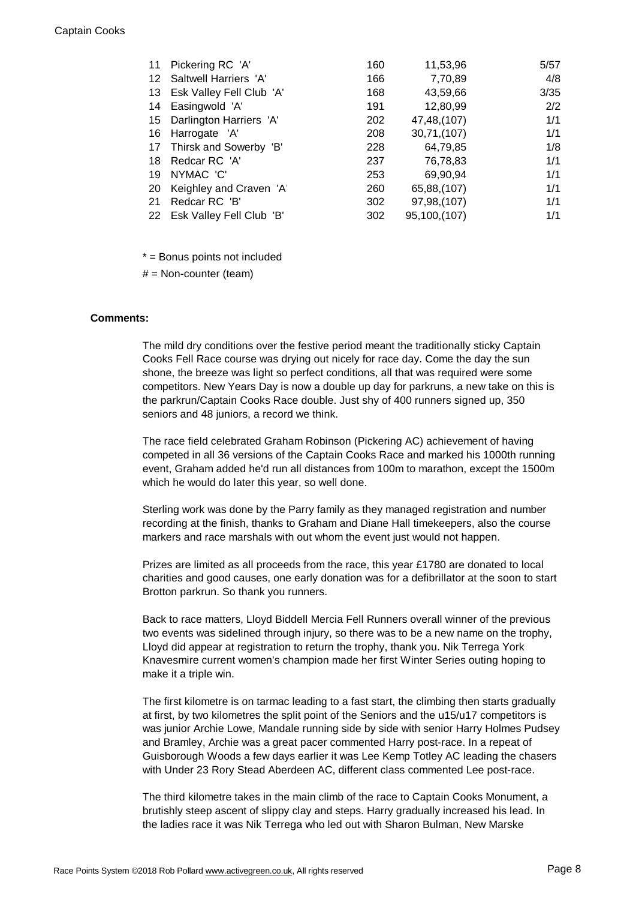| 11 | Pickering RC 'A'            | 160 | 11,53,96     | 5/57 |
|----|-----------------------------|-----|--------------|------|
| 12 | Saltwell Harriers 'A'       | 166 | 7,70,89      | 4/8  |
| 13 | Esk Valley Fell Club 'A'    | 168 | 43,59,66     | 3/35 |
| 14 | Easingwold 'A'              | 191 | 12,80,99     | 2/2  |
|    | 15 Darlington Harriers 'A'  | 202 | 47,48,(107)  | 1/1  |
| 16 | Harrogate 'A'               | 208 | 30,71,(107)  | 1/1  |
|    | 17 Thirsk and Sowerby 'B'   | 228 | 64,79,85     | 1/8  |
| 18 | Redcar RC 'A'               | 237 | 76,78,83     | 1/1  |
| 19 | NYMAC 'C'                   | 253 | 69,90,94     | 1/1  |
| 20 | Keighley and Craven 'A'     | 260 | 65,88,(107)  | 1/1  |
| 21 | Redcar RC 'B'               | 302 | 97,98,(107)  | 1/1  |
|    | 22 Esk Valley Fell Club 'B' | 302 | 95,100,(107) | 1/1  |

\* = Bonus points not included

 $#$  = Non-counter (team)

## **Comments:**

The mild dry conditions over the festive period meant the traditionally sticky Captain Cooks Fell Race course was drying out nicely for race day. Come the day the sun shone, the breeze was light so perfect conditions, all that was required were some competitors. New Years Day is now a double up day for parkruns, a new take on this is the parkrun/Captain Cooks Race double. Just shy of 400 runners signed up, 350 seniors and 48 juniors, a record we think.

The race field celebrated Graham Robinson (Pickering AC) achievement of having competed in all 36 versions of the Captain Cooks Race and marked his 1000th running event, Graham added he'd run all distances from 100m to marathon, except the 1500m which he would do later this year, so well done.

Sterling work was done by the Parry family as they managed registration and number recording at the finish, thanks to Graham and Diane Hall timekeepers, also the course markers and race marshals with out whom the event just would not happen.

Prizes are limited as all proceeds from the race, this year £1780 are donated to local charities and good causes, one early donation was for a defibrillator at the soon to start Brotton parkrun. So thank you runners.

Back to race matters, Lloyd Biddell Mercia Fell Runners overall winner of the previous two events was sidelined through injury, so there was to be a new name on the trophy, Lloyd did appear at registration to return the trophy, thank you. Nik Terrega York Knavesmire current women's champion made her first Winter Series outing hoping to make it a triple win.

The first kilometre is on tarmac leading to a fast start, the climbing then starts gradually at first, by two kilometres the split point of the Seniors and the u15/u17 competitors is was junior Archie Lowe, Mandale running side by side with senior Harry Holmes Pudsey and Bramley, Archie was a great pacer commented Harry post-race. In a repeat of Guisborough Woods a few days earlier it was Lee Kemp Totley AC leading the chasers with Under 23 Rory Stead Aberdeen AC, different class commented Lee post-race.

The third kilometre takes in the main climb of the race to Captain Cooks Monument, a brutishly steep ascent of slippy clay and steps. Harry gradually increased his lead. In the ladies race it was Nik Terrega who led out with Sharon Bulman, New Marske